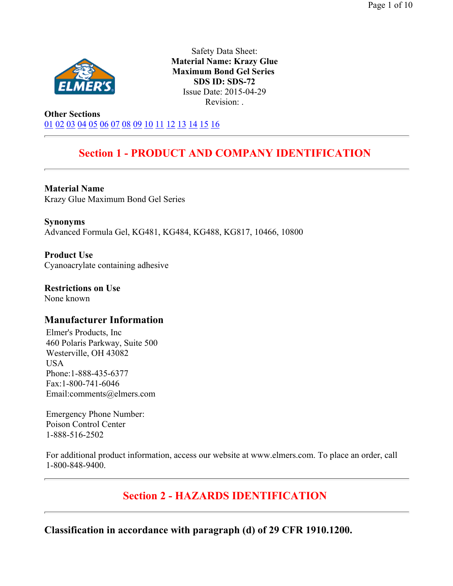

Safety Data Sheet: **Material Name: Krazy Glue Maximum Bond Gel Series SDS ID: SDS-72** Issue Date: 2015-04-29 Revision: .

**Other Sections** 01 02 03 04 05 06 07 08 09 10 11 12 13 14 15 16

# **Section 1 - PRODUCT AND COMPANY IDENTIFICATION**

**Material Name**  Krazy Glue Maximum Bond Gel Series

**Synonyms**  Advanced Formula Gel, KG481, KG484, KG488, KG817, 10466, 10800

**Product Use**  Cyanoacrylate containing adhesive

**Restrictions on Use**  None known

## **Manufacturer Information**

Elmer's Products, Inc 460 Polaris Parkway, Suite 500 Westerville, OH 43082 USA Phone:1-888-435-6377 Fax:1-800-741-6046 Email:comments@elmers.com

Emergency Phone Number: Poison Control Center 1-888-516-2502

For additional product information, access our website at www.elmers.com. To place an order, call 1-800-848-9400.

# **Section 2 - HAZARDS IDENTIFICATION**

**Classification in accordance with paragraph (d) of 29 CFR 1910.1200.**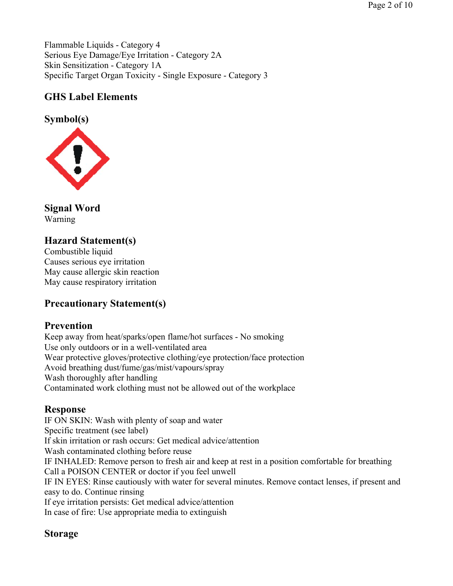## **GHS Label Elements**

**Symbol(s)** 



**Signal Word**  Warning

## **Hazard Statement(s)**

Combustible liquid Causes serious eye irritation May cause allergic skin reaction May cause respiratory irritation

## **Precautionary Statement(s)**

## **Prevention**

Keep away from heat/sparks/open flame/hot surfaces - No smoking Use only outdoors or in a well-ventilated area Wear protective gloves/protective clothing/eye protection/face protection Avoid breathing dust/fume/gas/mist/vapours/spray Wash thoroughly after handling Contaminated work clothing must not be allowed out of the workplace

## **Response**

IF ON SKIN: Wash with plenty of soap and water Specific treatment (see label) If skin irritation or rash occurs: Get medical advice/attention Wash contaminated clothing before reuse IF INHALED: Remove person to fresh air and keep at rest in a position comfortable for breathing Call a POISON CENTER or doctor if you feel unwell IF IN EYES: Rinse cautiously with water for several minutes. Remove contact lenses, if present and easy to do. Continue rinsing If eye irritation persists: Get medical advice/attention In case of fire: Use appropriate media to extinguish

## **Storage**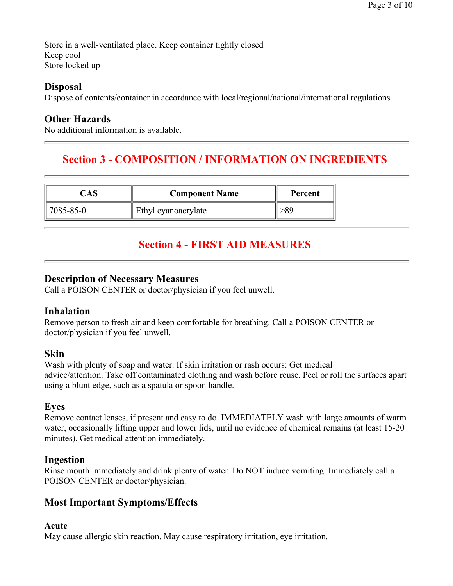Store in a well-ventilated place. Keep container tightly closed Keep cool Store locked up

## **Disposal**

Dispose of contents/container in accordance with local/regional/national/international regulations

## **Other Hazards**

No additional information is available.

# **Section 3 - COMPOSITION / INFORMATION ON INGREDIENTS**

| AS        | <b>Component Name</b> | Percent |  |
|-----------|-----------------------|---------|--|
| 7085-85-0 | Ethyl cyanoacrylate   |         |  |

# **Section 4 - FIRST AID MEASURES**

## **Description of Necessary Measures**

Call a POISON CENTER or doctor/physician if you feel unwell.

## **Inhalation**

Remove person to fresh air and keep comfortable for breathing. Call a POISON CENTER or doctor/physician if you feel unwell.

## **Skin**

Wash with plenty of soap and water. If skin irritation or rash occurs: Get medical advice/attention. Take off contaminated clothing and wash before reuse. Peel or roll the surfaces apart using a blunt edge, such as a spatula or spoon handle.

## **Eyes**

Remove contact lenses, if present and easy to do. IMMEDIATELY wash with large amounts of warm water, occasionally lifting upper and lower lids, until no evidence of chemical remains (at least 15-20 minutes). Get medical attention immediately.

## **Ingestion**

Rinse mouth immediately and drink plenty of water. Do NOT induce vomiting. Immediately call a POISON CENTER or doctor/physician.

## **Most Important Symptoms/Effects**

### **Acute**

May cause allergic skin reaction. May cause respiratory irritation, eye irritation.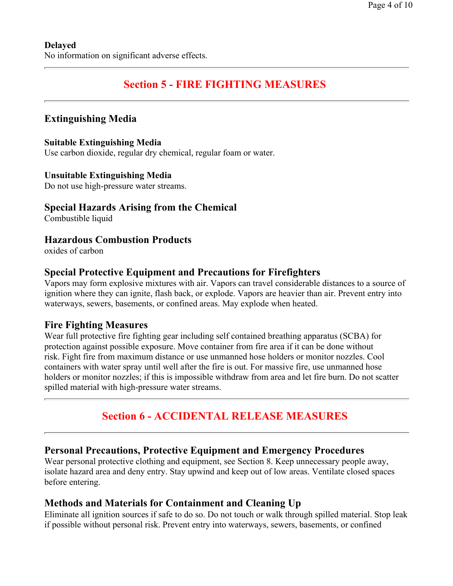# **Section 5 - FIRE FIGHTING MEASURES**

## **Extinguishing Media**

### **Suitable Extinguishing Media**

Use carbon dioxide, regular dry chemical, regular foam or water.

#### **Unsuitable Extinguishing Media**

Do not use high-pressure water streams.

## **Special Hazards Arising from the Chemical**

Combustible liquid

## **Hazardous Combustion Products**

oxides of carbon

## **Special Protective Equipment and Precautions for Firefighters**

Vapors may form explosive mixtures with air. Vapors can travel considerable distances to a source of ignition where they can ignite, flash back, or explode. Vapors are heavier than air. Prevent entry into waterways, sewers, basements, or confined areas. May explode when heated.

## **Fire Fighting Measures**

Wear full protective fire fighting gear including self contained breathing apparatus (SCBA) for protection against possible exposure. Move container from fire area if it can be done without risk. Fight fire from maximum distance or use unmanned hose holders or monitor nozzles. Cool containers with water spray until well after the fire is out. For massive fire, use unmanned hose holders or monitor nozzles; if this is impossible withdraw from area and let fire burn. Do not scatter spilled material with high-pressure water streams.

## **Section 6 - ACCIDENTAL RELEASE MEASURES**

## **Personal Precautions, Protective Equipment and Emergency Procedures**

Wear personal protective clothing and equipment, see Section 8. Keep unnecessary people away, isolate hazard area and deny entry. Stay upwind and keep out of low areas. Ventilate closed spaces before entering.

### **Methods and Materials for Containment and Cleaning Up**

Eliminate all ignition sources if safe to do so. Do not touch or walk through spilled material. Stop leak if possible without personal risk. Prevent entry into waterways, sewers, basements, or confined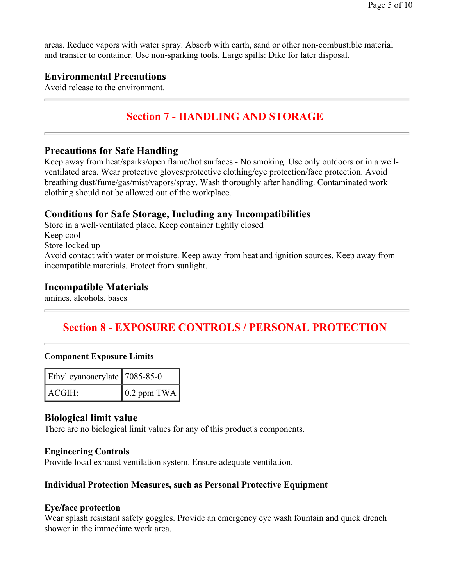areas. Reduce vapors with water spray. Absorb with earth, sand or other non-combustible material and transfer to container. Use non-sparking tools. Large spills: Dike for later disposal.

### **Environmental Precautions**

Avoid release to the environment.

# **Section 7 - HANDLING AND STORAGE**

### **Precautions for Safe Handling**

Keep away from heat/sparks/open flame/hot surfaces - No smoking. Use only outdoors or in a wellventilated area. Wear protective gloves/protective clothing/eye protection/face protection. Avoid breathing dust/fume/gas/mist/vapors/spray. Wash thoroughly after handling. Contaminated work clothing should not be allowed out of the workplace.

### **Conditions for Safe Storage, Including any Incompatibilities**

Store in a well-ventilated place. Keep container tightly closed Keep cool Store locked up Avoid contact with water or moisture. Keep away from heat and ignition sources. Keep away from incompatible materials. Protect from sunlight.

### **Incompatible Materials**

amines, alcohols, bases

## **Section 8 - EXPOSURE CONTROLS / PERSONAL PROTECTION**

#### **Component Exposure Limits**

| Ethyl cyanoacrylate   7085-85-0 |                     |  |  |
|---------------------------------|---------------------|--|--|
| ACGIH:                          | $\vert$ 0.2 ppm TWA |  |  |

### **Biological limit value**

There are no biological limit values for any of this product's components.

#### **Engineering Controls**

Provide local exhaust ventilation system. Ensure adequate ventilation.

#### **Individual Protection Measures, such as Personal Protective Equipment**

#### **Eye/face protection**

Wear splash resistant safety goggles. Provide an emergency eye wash fountain and quick drench shower in the immediate work area.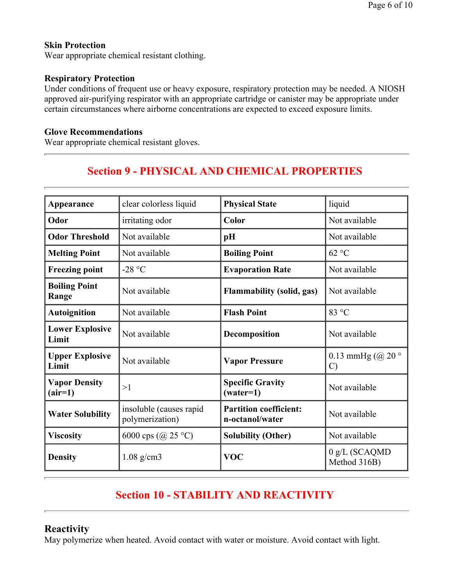### **Skin Protection**

Wear appropriate chemical resistant clothing.

#### **Respiratory Protection**

Under conditions of frequent use or heavy exposure, respiratory protection may be needed. A NIOSH approved air-purifying respirator with an appropriate cartridge or canister may be appropriate under certain circumstances where airborne concentrations are expected to exceed exposure limits.

#### **Glove Recommendations**

Wear appropriate chemical resistant gloves.

# **Section 9 - PHYSICAL AND CHEMICAL PROPERTIES**

| Appearance                        | clear colorless liquid                     | <b>Physical State</b>                            | liquid                             |  |  |
|-----------------------------------|--------------------------------------------|--------------------------------------------------|------------------------------------|--|--|
| Odor                              | irritating odor                            | Color                                            | Not available                      |  |  |
| <b>Odor Threshold</b>             | Not available                              | pH                                               | Not available                      |  |  |
| <b>Melting Point</b>              | Not available                              | <b>Boiling Point</b>                             | 62 °C                              |  |  |
| <b>Freezing point</b>             | -28 $\degree$ C                            | <b>Evaporation Rate</b>                          | Not available                      |  |  |
| <b>Boiling Point</b><br>Range     | Not available                              | <b>Flammability (solid, gas)</b>                 | Not available                      |  |  |
| <b>Autoignition</b>               | Not available                              | <b>Flash Point</b>                               | 83 °C                              |  |  |
| <b>Lower Explosive</b><br>Limit   | Not available                              | Decomposition                                    | Not available                      |  |  |
| <b>Upper Explosive</b><br>Limit   | Not available                              | <b>Vapor Pressure</b>                            | 0.13 mmHg $(Q20°$<br>$\mathcal{C}$ |  |  |
| <b>Vapor Density</b><br>$(air=1)$ | >1                                         | <b>Specific Gravity</b><br>$(water=1)$           | Not available                      |  |  |
| <b>Water Solubility</b>           | insoluble (causes rapid<br>polymerization) | <b>Partition coefficient:</b><br>n-octanol/water | Not available                      |  |  |
| <b>Viscosity</b>                  | 6000 cps (@ 25 °C)                         | <b>Solubility (Other)</b>                        | Not available                      |  |  |
| <b>Density</b>                    | $1.08$ g/cm3                               | <b>VOC</b>                                       | $0 g/L$ (SCAQMD<br>Method 316B)    |  |  |

# **Section 10 - STABILITY AND REACTIVITY**

## **Reactivity**

May polymerize when heated. Avoid contact with water or moisture. Avoid contact with light.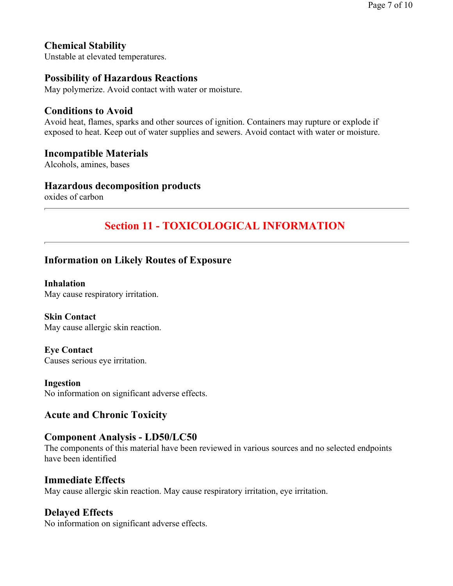# **Chemical Stability**

Unstable at elevated temperatures.

## **Possibility of Hazardous Reactions**

May polymerize. Avoid contact with water or moisture.

### **Conditions to Avoid**

Avoid heat, flames, sparks and other sources of ignition. Containers may rupture or explode if exposed to heat. Keep out of water supplies and sewers. Avoid contact with water or moisture.

#### **Incompatible Materials**

Alcohols, amines, bases

#### **Hazardous decomposition products**

oxides of carbon

## **Section 11 - TOXICOLOGICAL INFORMATION**

### **Information on Likely Routes of Exposure**

**Inhalation**  May cause respiratory irritation.

**Skin Contact**  May cause allergic skin reaction.

**Eye Contact**  Causes serious eye irritation.

**Ingestion**  No information on significant adverse effects.

## **Acute and Chronic Toxicity**

### **Component Analysis - LD50/LC50**

The components of this material have been reviewed in various sources and no selected endpoints have been identified

### **Immediate Effects**

May cause allergic skin reaction. May cause respiratory irritation, eye irritation.

## **Delayed Effects**

No information on significant adverse effects.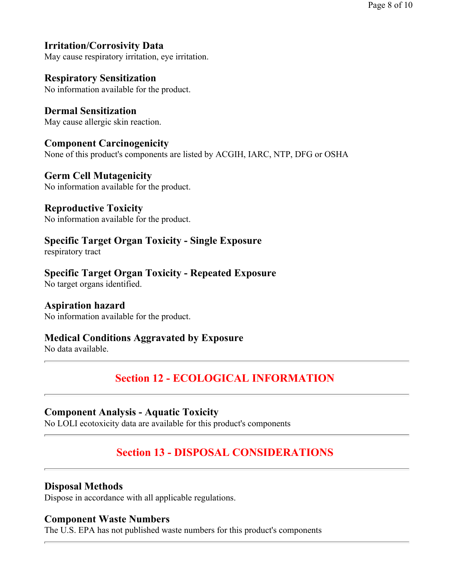## **Irritation/Corrosivity Data**

May cause respiratory irritation, eye irritation.

## **Respiratory Sensitization**

No information available for the product.

**Dermal Sensitization**  May cause allergic skin reaction.

**Component Carcinogenicity** None of this product's components are listed by ACGIH, IARC, NTP, DFG or OSHA

#### **Germ Cell Mutagenicity**  No information available for the product.

**Reproductive Toxicity** 

No information available for the product.

## **Specific Target Organ Toxicity - Single Exposure**

respiratory tract

### **Specific Target Organ Toxicity - Repeated Exposure**

No target organs identified.

### **Aspiration hazard**

No information available for the product.

## **Medical Conditions Aggravated by Exposure**

No data available.

# **Section 12 - ECOLOGICAL INFORMATION**

### **Component Analysis - Aquatic Toxicity**

No LOLI ecotoxicity data are available for this product's components

# **Section 13 - DISPOSAL CONSIDERATIONS**

### **Disposal Methods**

Dispose in accordance with all applicable regulations.

### **Component Waste Numbers**

The U.S. EPA has not published waste numbers for this product's components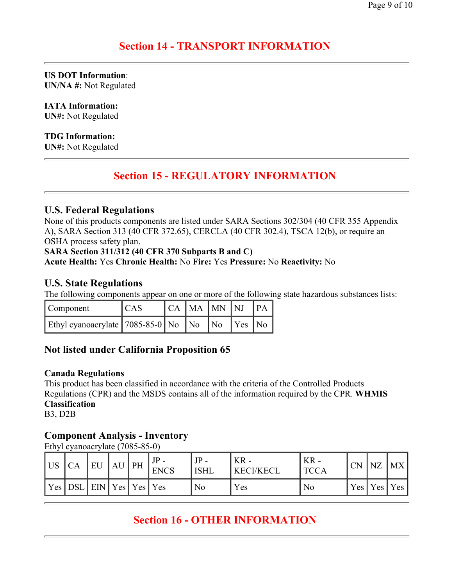## **Section 14 - TRANSPORT INFORMATION**

**US DOT Information**: **UN/NA #:** Not Regulated

**IATA Information:**

**UN#:** Not Regulated

#### **TDG Information:**

**UN#:** Not Regulated

## **Section 15 - REGULATORY INFORMATION**

### **U.S. Federal Regulations**

None of this products components are listed under SARA Sections 302/304 (40 CFR 355 Appendix A), SARA Section 313 (40 CFR 372.65), CERCLA (40 CFR 302.4), TSCA 12(b), or require an OSHA process safety plan.

#### **SARA Section 311/312 (40 CFR 370 Subparts B and C)**

### **Acute Health:** Yes **Chronic Health:** No **Fire:** Yes **Pressure:** No **Reactivity:** No

### **U.S. State Regulations**

The following components appear on one or more of the following state hazardous substances lists:

| Component                                                                      | <sub>CAS</sub> |  | CA MA MN NJ |                        |  |
|--------------------------------------------------------------------------------|----------------|--|-------------|------------------------|--|
| Ethyl cyanoacrylate $\left[ 7085 - 85 - 0 \right]$ No $\left[$ No $\right]$ No |                |  |             | $\vert$ Yes $\vert$ No |  |

## **Not listed under California Proposition 65**

#### **Canada Regulations**

This product has been classified in accordance with the criteria of the Controlled Products Regulations (CPR) and the MSDS contains all of the information required by the CPR. **WHMIS Classification** 

B3, D2B

## **Component Analysis - Inventory**

Ethyl cyanoacrylate (7085-85-0)

| <b>US</b> | СA                          | EU | AU PH | $JP -$<br><b>ENCS</b> | <b>ISHL</b> | $KR -$<br><b>KECI/KECL</b> | $KR -$<br>TCCA | <b>CN</b> | NZ        | <b>MX</b> |
|-----------|-----------------------------|----|-------|-----------------------|-------------|----------------------------|----------------|-----------|-----------|-----------|
| Yes       | DSL   EIN   Yes   Yes   Yes |    |       |                       | No          | Yes                        | No             |           | Yes   Yes | Yes.      |

# **Section 16 - OTHER INFORMATION**